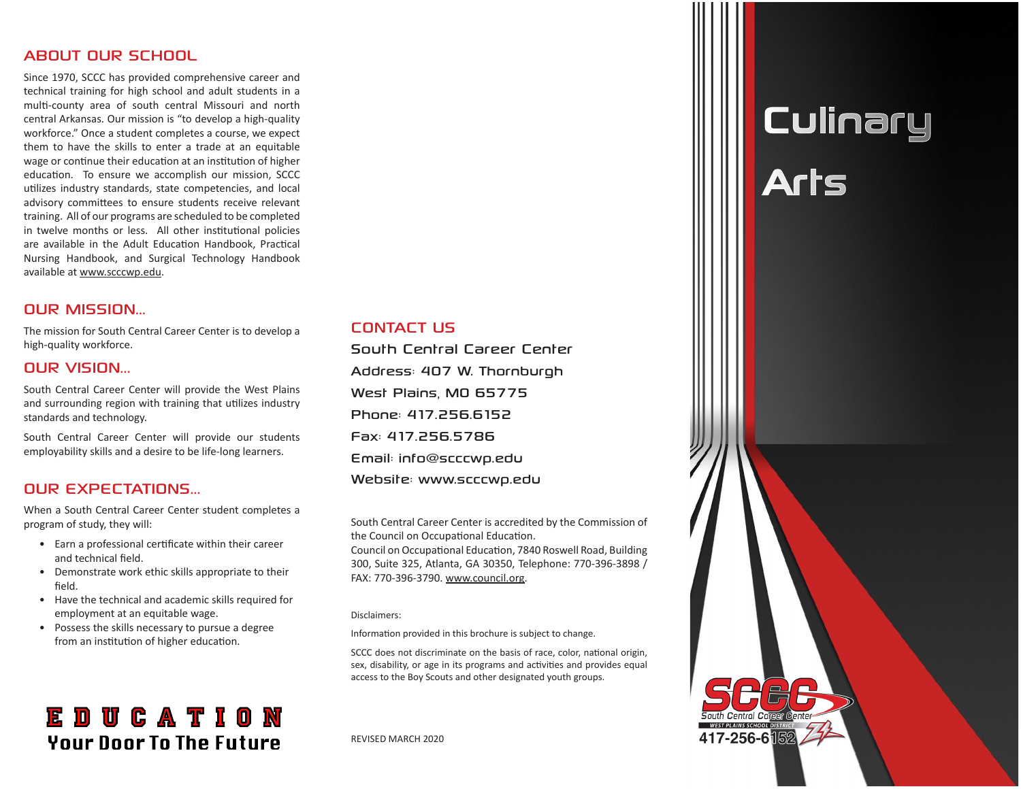#### ABOUT OUR SCHOOL

Since 1970, SCCC has provided comprehensive career and technical training for high school and adult students in a multi-county area of south central Missouri and north central Arkansas. Our mission is "to develop a high-quality workforce." Once a student completes a course, we expect them to have the skills to enter a trade at an equitable wage or continue their education at an institution of higher education. To ensure we accomplish our mission, SCCC utilizes industry standards, state competencies, and local advisory committees to ensure students receive relevant training. All of our programs are scheduled to be completed in twelve months or less. All other institutional policies are available in the Adult Education Handbook, Practical Nursing Handbook, and Surgical Technology Handbook available at www.scccwp.edu.

#### OUR MISSION...

The mission for South Central Career Center is to develop a high-quality workforce.

#### OUR VISION...

South Central Career Center will provide the West Plains and surrounding region with training that utilizes industry standards and technology.

South Central Career Center will provide our students employability skills and a desire to be life-long learners.

#### OUR EXPECTATIONS...

When a South Central Career Center student completes a program of study, they will:

- Earn a professional certificate within their career and technical field.
- Demonstrate work ethic skills appropriate to their field.
- Have the technical and academic skills required for employment at an equitable wage.
- Possess the skills necessary to pursue a degree from an institution of higher education.

### **EDUCATION Your Door To The Future**

#### CONTACT US

South Central Career Center Address: 407 W. Thornburgh West Plains, MO 65775 Phone: 417.256.6152 Fax: 417.256.5786 Email: info@scccwp.edu Website: www.scccwp.edu

South Central Career Center is accredited by the Commission of the Council on Occupational Education.

Council on Occupational Education, 7840 Roswell Road, Building 300, Suite 325, Atlanta, GA 30350, Telephone: 770-396-3898 / FAX: 770-396-3790. www.council.org.

#### Disclaimers:

Information provided in this brochure is subject to change.

SCCC does not discriminate on the basis of race, color, national origin, sex, disability, or age in its programs and activities and provides equal access to the Boy Scouts and other designated youth groups.

REVISED MARCH 2020

## **Culinary** Arts

417-256-6隔2